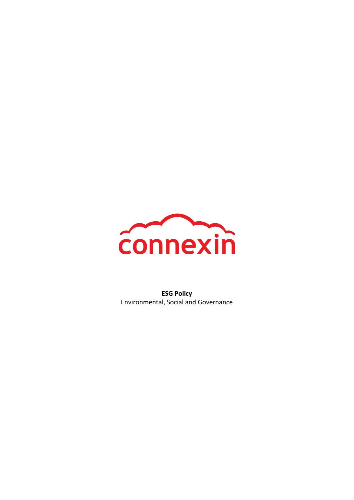

ESG Policy Environmental, Social and Governance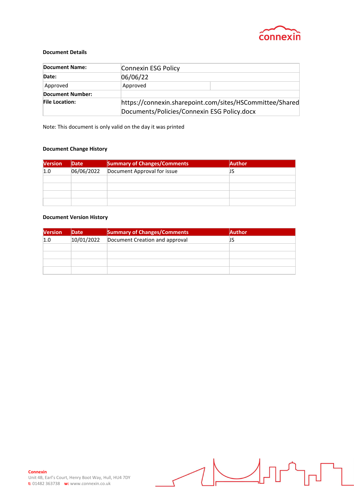

#### Document Details

| <b>Document Name:</b>   | Connexin ESG Policy                                                                                     |  |
|-------------------------|---------------------------------------------------------------------------------------------------------|--|
| Date:                   | 06/06/22                                                                                                |  |
| Approved                | Approved                                                                                                |  |
| <b>Document Number:</b> |                                                                                                         |  |
| <b>File Location:</b>   | https://connexin.sharepoint.com/sites/HSCommittee/Shared<br>Documents/Policies/Connexin ESG Policy.docx |  |

Note: This document is only valid on the day it was printed

#### Document Change History

| <b>Version</b> | Date       | <b>Summary of Changes/Comments</b> | <b>Author</b> |
|----------------|------------|------------------------------------|---------------|
| 1.0            | 06/06/2022 | Document Approval for issue        | JS            |
|                |            |                                    |               |
|                |            |                                    |               |
|                |            |                                    |               |
|                |            |                                    |               |

#### Document Version History

| <b>Version</b> | Date       | <b>Summary of Changes/Comments</b> | <b>Author</b> |
|----------------|------------|------------------------------------|---------------|
| 1.0            | 10/01/2022 | Document Creation and approval     |               |
|                |            |                                    |               |
|                |            |                                    |               |
|                |            |                                    |               |
|                |            |                                    |               |

 $\overline{\mathsf{L}}$ 

 $\bigcup$ 

 $\overline{\mathbb{H}}$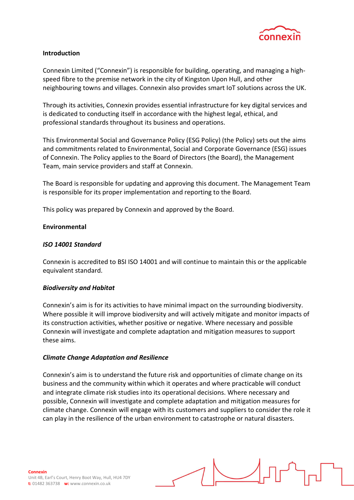

# Introduction

Connexin Limited ("Connexin") is responsible for building, operating, and managing a highspeed fibre to the premise network in the city of Kingston Upon Hull, and other neighbouring towns and villages. Connexin also provides smart IoT solutions across the UK.

Through its activities, Connexin provides essential infrastructure for key digital services and is dedicated to conducting itself in accordance with the highest legal, ethical, and professional standards throughout its business and operations.

This Environmental Social and Governance Policy (ESG Policy) (the Policy) sets out the aims and commitments related to Environmental, Social and Corporate Governance (ESG) issues of Connexin. The Policy applies to the Board of Directors (the Board), the Management Team, main service providers and staff at Connexin.

The Board is responsible for updating and approving this document. The Management Team is responsible for its proper implementation and reporting to the Board.

This policy was prepared by Connexin and approved by the Board.

## Environmental

# ISO 14001 Standard

Connexin is accredited to BSI ISO 14001 and will continue to maintain this or the applicable equivalent standard.

## Biodiversity and Habitat

Connexin's aim is for its activities to have minimal impact on the surrounding biodiversity. Where possible it will improve biodiversity and will actively mitigate and monitor impacts of its construction activities, whether positive or negative. Where necessary and possible Connexin will investigate and complete adaptation and mitigation measures to support these aims.

## Climate Change Adaptation and Resilience

Connexin's aim is to understand the future risk and opportunities of climate change on its business and the community within which it operates and where practicable will conduct and integrate climate risk studies into its operational decisions. Where necessary and possible, Connexin will investigate and complete adaptation and mitigation measures for climate change. Connexin will engage with its customers and suppliers to consider the role it can play in the resilience of the urban environment to catastrophe or natural disasters.

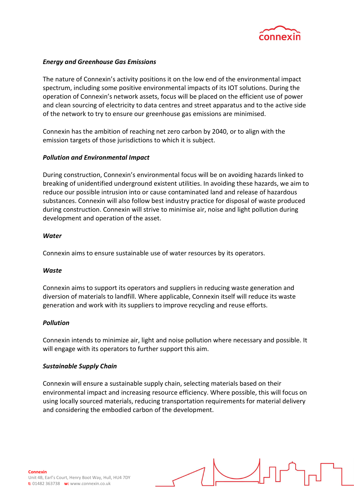

## Energy and Greenhouse Gas Emissions

The nature of Connexin's activity positions it on the low end of the environmental impact spectrum, including some positive environmental impacts of its IOT solutions. During the operation of Connexin's network assets, focus will be placed on the efficient use of power and clean sourcing of electricity to data centres and street apparatus and to the active side of the network to try to ensure our greenhouse gas emissions are minimised.

Connexin has the ambition of reaching net zero carbon by 2040, or to align with the emission targets of those jurisdictions to which it is subject.

# Pollution and Environmental Impact

During construction, Connexin's environmental focus will be on avoiding hazards linked to breaking of unidentified underground existent utilities. In avoiding these hazards, we aim to reduce our possible intrusion into or cause contaminated land and release of hazardous substances. Connexin will also follow best industry practice for disposal of waste produced during construction. Connexin will strive to minimise air, noise and light pollution during development and operation of the asset.

## **Water**

Connexin aims to ensure sustainable use of water resources by its operators.

## Waste

Connexin aims to support its operators and suppliers in reducing waste generation and diversion of materials to landfill. Where applicable, Connexin itself will reduce its waste generation and work with its suppliers to improve recycling and reuse efforts.

## Pollution

Connexin intends to minimize air, light and noise pollution where necessary and possible. It will engage with its operators to further support this aim.

#### Sustainable Supply Chain

Connexin will ensure a sustainable supply chain, selecting materials based on their environmental impact and increasing resource efficiency. Where possible, this will focus on using locally sourced materials, reducing transportation requirements for material delivery and considering the embodied carbon of the development.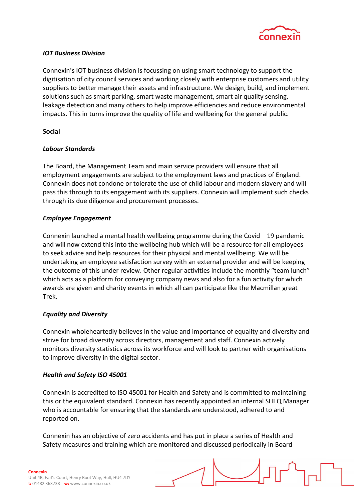

# IOT Business Division

Connexin's IOT business division is focussing on using smart technology to support the digitisation of city council services and working closely with enterprise customers and utility suppliers to better manage their assets and infrastructure. We design, build, and implement solutions such as smart parking, smart waste management, smart air quality sensing, leakage detection and many others to help improve efficiencies and reduce environmental impacts. This in turns improve the quality of life and wellbeing for the general public.

# Social

# Labour Standards

The Board, the Management Team and main service providers will ensure that all employment engagements are subject to the employment laws and practices of England. Connexin does not condone or tolerate the use of child labour and modern slavery and will pass this through to its engagement with its suppliers. Connexin will implement such checks through its due diligence and procurement processes.

# Employee Engagement

Connexin launched a mental health wellbeing programme during the Covid – 19 pandemic and will now extend this into the wellbeing hub which will be a resource for all employees to seek advice and help resources for their physical and mental wellbeing. We will be undertaking an employee satisfaction survey with an external provider and will be keeping the outcome of this under review. Other regular activities include the monthly "team lunch" which acts as a platform for conveying company news and also for a fun activity for which awards are given and charity events in which all can participate like the Macmillan great Trek.

# Equality and Diversity

Connexin wholeheartedly believes in the value and importance of equality and diversity and strive for broad diversity across directors, management and staff. Connexin actively monitors diversity statistics across its workforce and will look to partner with organisations to improve diversity in the digital sector.

## Health and Safety ISO 45001

Connexin is accredited to ISO 45001 for Health and Safety and is committed to maintaining this or the equivalent standard. Connexin has recently appointed an internal SHEQ Manager who is accountable for ensuring that the standards are understood, adhered to and reported on.

Connexin has an objective of zero accidents and has put in place a series of Health and Safety measures and training which are monitored and discussed periodically in Board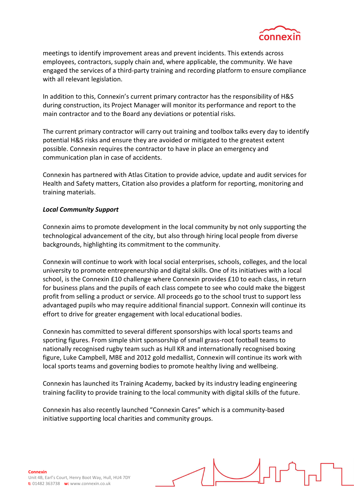

meetings to identify improvement areas and prevent incidents. This extends across employees, contractors, supply chain and, where applicable, the community. We have engaged the services of a third-party training and recording platform to ensure compliance with all relevant legislation.

In addition to this, Connexin's current primary contractor has the responsibility of H&S during construction, its Project Manager will monitor its performance and report to the main contractor and to the Board any deviations or potential risks.

The current primary contractor will carry out training and toolbox talks every day to identify potential H&S risks and ensure they are avoided or mitigated to the greatest extent possible. Connexin requires the contractor to have in place an emergency and communication plan in case of accidents.

Connexin has partnered with Atlas Citation to provide advice, update and audit services for Health and Safety matters, Citation also provides a platform for reporting, monitoring and training materials.

## Local Community Support

Connexin aims to promote development in the local community by not only supporting the technological advancement of the city, but also through hiring local people from diverse backgrounds, highlighting its commitment to the community.

Connexin will continue to work with local social enterprises, schools, colleges, and the local university to promote entrepreneurship and digital skills. One of its initiatives with a local school, is the Connexin £10 challenge where Connexin provides £10 to each class, in return for business plans and the pupils of each class compete to see who could make the biggest profit from selling a product or service. All proceeds go to the school trust to support less advantaged pupils who may require additional financial support. Connexin will continue its effort to drive for greater engagement with local educational bodies.

Connexin has committed to several different sponsorships with local sports teams and sporting figures. From simple shirt sponsorship of small grass-root football teams to nationally recognised rugby team such as Hull KR and internationally recognised boxing figure, Luke Campbell, MBE and 2012 gold medallist, Connexin will continue its work with local sports teams and governing bodies to promote healthy living and wellbeing.

Connexin has launched its Training Academy, backed by its industry leading engineering training facility to provide training to the local community with digital skills of the future.

Connexin has also recently launched "Connexin Cares" which is a community-based initiative supporting local charities and community groups.

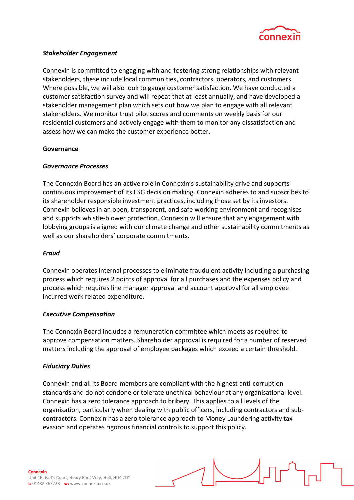

# Stakeholder Engagement

Connexin is committed to engaging with and fostering strong relationships with relevant stakeholders, these include local communities, contractors, operators, and customers. Where possible, we will also look to gauge customer satisfaction. We have conducted a customer satisfaction survey and will repeat that at least annually, and have developed a stakeholder management plan which sets out how we plan to engage with all relevant stakeholders. We monitor trust pilot scores and comments on weekly basis for our residential customers and actively engage with them to monitor any dissatisfaction and assess how we can make the customer experience better,

## Governance

## Governance Processes

The Connexin Board has an active role in Connexin's sustainability drive and supports continuous improvement of its ESG decision making. Connexin adheres to and subscribes to its shareholder responsible investment practices, including those set by its investors. Connexin believes in an open, transparent, and safe working environment and recognises and supports whistle-blower protection. Connexin will ensure that any engagement with lobbying groups is aligned with our climate change and other sustainability commitments as well as our shareholders' corporate commitments.

#### Fraud

Connexin operates internal processes to eliminate fraudulent activity including a purchasing process which requires 2 points of approval for all purchases and the expenses policy and process which requires line manager approval and account approval for all employee incurred work related expenditure.

#### Executive Compensation

The Connexin Board includes a remuneration committee which meets as required to approve compensation matters. Shareholder approval is required for a number of reserved matters including the approval of employee packages which exceed a certain threshold.

## Fiduciary Duties

Connexin and all its Board members are compliant with the highest anti-corruption standards and do not condone or tolerate unethical behaviour at any organisational level. Connexin has a zero tolerance approach to bribery. This applies to all levels of the organisation, particularly when dealing with public officers, including contractors and subcontractors. Connexin has a zero tolerance approach to Money Laundering activity tax evasion and operates rigorous financial controls to support this policy.